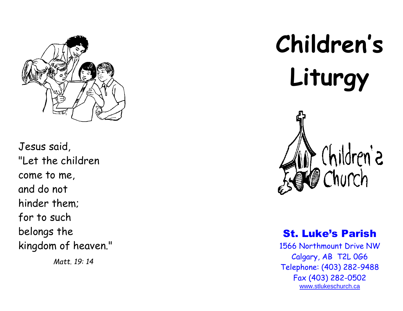

Jesus said, "Let the children come to me, and do not hinder them; for to such belongs the kingdom of heaven."

*Matt. 19: 14*

# **Children's Liturgy**



## St. Luke's Parish

1566 Northmount Drive NW Calgary, AB T2L 0G6 Telephone: (403) 282 -9488 Fax (403) 282 -0502 [www.stlukeschurch.ca](http://www.stlukeschurch.ca/)